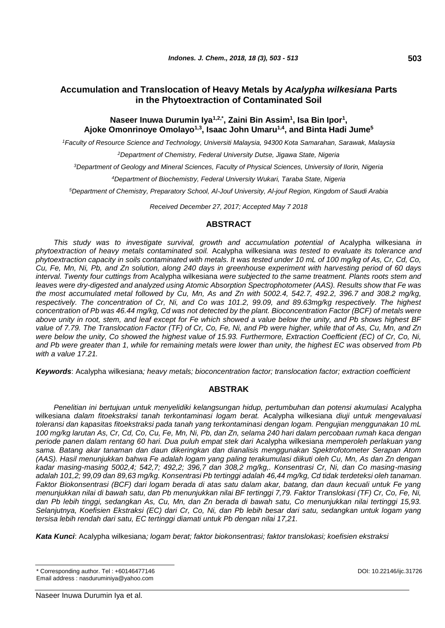# **Accumulation and Translocation of Heavy Metals by** *Acalypha wilkesiana* **Parts in the Phytoextraction of Contaminated Soil**

# **Naseer Inuwa Durumin Iya1,2,\*, Zaini Bin Assim<sup>1</sup> , Isa Bin Ipor<sup>1</sup> , Ajoke Omonrinoye Omolayo1,3, Isaac John Umaru1,4, and Binta Hadi Jume<sup>5</sup>**

*<sup>1</sup>Faculty of Resource Science and Technology, Universiti Malaysia, 94300 Kota Samarahan, Sarawak, Malaysia*

*<sup>2</sup>Department of Chemistry, Federal University Dutse, Jigawa State, Nigeria*

*<sup>3</sup>Department of Geology and Mineral Sciences, Faculty of Physical Sciences, University of Ilorin, Nigeria*

*<sup>4</sup>Department of Biochemistry, Federal University Wukari, Taraba State, Nigeria*

*<sup>5</sup>Department of Chemistry, Preparatory School, Al-Jouf University, Al-jouf Region, Kingdom of Saudi Arabia*

*Received December 27, 2017; Accepted May 7 2018*

# **ABSTRACT**

*This study was to investigate survival, growth and accumulation potential of* Acalypha wilkesiana *in phytoextraction of heavy metals contaminated soil.* Acalypha wilkesiana *was tested to evaluate its tolerance and phytoextraction capacity in soils contaminated with metals. It was tested under 10 mL of 100 mg/kg of As, Cr, Cd, Co, Cu, Fe, Mn, Ni, Pb, and Zn solution, along 240 days in greenhouse experiment with harvesting period of 60 days interval. Twenty four cuttings from* Acalypha wilkesiana *were subjected to the same treatment. Plants roots stem and leaves were dry-digested and analyzed using Atomic Absorption Spectrophotometer (AAS). Results show that Fe was the most accumulated metal followed by Cu, Mn, As and Zn with 5002.4, 542.7, 492.2, 396.7 and 308.2 mg/kg, respectively. The concentration of Cr, Ni, and Co was 101.2, 99.09, and 89.63mg/kg respectively. The highest concentration of Pb was 46.44 mg/kg, Cd was not detected by the plant. Bioconcentration Factor (BCF) of metals were above unity in root, stem, and leaf except for Fe which showed a value below the unity, and Pb shows highest BF value of 7.79. The Translocation Factor (TF) of Cr, Co, Fe, Ni, and Pb were higher, while that of As, Cu, Mn, and Zn were below the unity, Co showed the highest value of 15.93. Furthermore, Extraction Coefficient (EC) of Cr, Co, Ni, and Pb were greater than 1, while for remaining metals were lower than unity, the highest EC was observed from Pb with a value 17.21.*

*Keywords*: Acalypha wilkesiana*; heavy metals; bioconcentration factor; translocation factor; extraction coefficient*

# **ABSTRAK**

Penelitian ini bertujuan untuk menyelidiki kelangsungan hidup, pertumbuhan dan potensi akumulasi Acalypha wilkesiana *dalam fitoekstraksi tanah terkontaminasi logam berat.* Acalypha wilkesiana *diuji untuk mengevaluasi toleransi dan kapasitas fitoekstraksi pada tanah yang terkontaminasi dengan logam. Pengujian menggunakan 10 mL 100 mg/kg larutan As, Cr, Cd, Co, Cu, Fe, Mn, Ni, Pb, dan Zn, selama 240 hari dalam percobaan rumah kaca dengan periode panen dalam rentang 60 hari. Dua puluh empat stek dari* Acalypha wilkesiana *memperoleh perlakuan yang sama. Batang akar tanaman dan daun dikeringkan dan dianalisis menggunakan Spektrofotometer Serapan Atom (AAS). Hasil menunjukkan bahwa Fe adalah logam yang paling terakumulasi diikuti oleh Cu, Mn, As dan Zn dengan kadar masing-masing 5002,4; 542,7; 492,2; 396,7 dan 308,2 mg/kg,. Konsentrasi Cr, Ni, dan Co masing-masing adalah 101,2; 99,09 dan 89,63 mg/kg. Konsentrasi Pb tertinggi adalah 46,44 mg/kg, Cd tidak terdeteksi oleh tanaman. Faktor Biokonsentrasi (BCF) dari logam berada di atas satu dalam akar, batang, dan daun kecuali untuk Fe yang menunjukkan nilai di bawah satu, dan Pb menunjukkan nilai BF tertinggi 7,79. Faktor Translokasi (TF) Cr, Co, Fe, Ni, dan Pb lebih tinggi, sedangkan As, Cu, Mn, dan Zn berada di bawah satu, Co menunjukkan nilai tertinggi 15,93. Selanjutnya, Koefisien Ekstraksi (EC) dari Cr, Co, Ni, dan Pb lebih besar dari satu, sedangkan untuk logam yang tersisa lebih rendah dari satu, EC tertinggi diamati untuk Pb dengan nilai 17,21.*

*Kata Kunci*: Acalypha wilkesiana*; logam berat; faktor biokonsentrasi; faktor translokasi; koefisien ekstraksi*

<sup>\*</sup> Corresponding author. Tel : +60146477146 DOI: 10.22146/ijc.31726 Email address : nasduruminiya@yahoo.com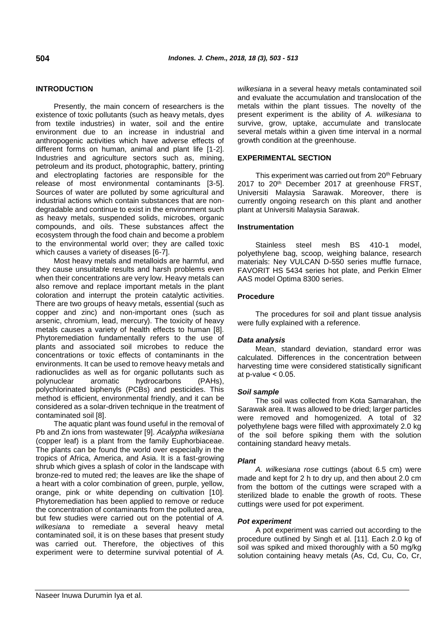# **INTRODUCTION**

Presently, the main concern of researchers is the existence of toxic pollutants (such as heavy metals, dyes from textile industries) in water, soil and the entire environment due to an increase in industrial and anthropogenic activities which have adverse effects of different forms on human, animal and plant life [1-2]. Industries and agriculture sectors such as, mining, petroleum and its product, photographic, battery, printing and electroplating factories are responsible for the release of most environmental contaminants [3-5]. Sources of water are polluted by some agricultural and industrial actions which contain substances that are nondegradable and continue to exist in the environment such as heavy metals, suspended solids, microbes, organic compounds, and oils. These substances affect the ecosystem through the food chain and become a problem to the environmental world over; they are called toxic which causes a variety of diseases [6-7].

Most heavy metals and metalloids are harmful, and they cause unsuitable results and harsh problems even when their concentrations are very low. Heavy metals can also remove and replace important metals in the plant coloration and interrupt the protein catalytic activities. There are two groups of heavy metals, essential (such as copper and zinc) and non-important ones (such as arsenic, chromium, lead, mercury). The toxicity of heavy metals causes a variety of health effects to human [8]. Phytoremediation fundamentally refers to the use of plants and associated soil microbes to reduce the concentrations or toxic effects of contaminants in the environments. It can be used to remove heavy metals and radionuclides as well as for organic pollutants such as polynuclear aromatic hydrocarbons (PAHs), polychlorinated biphenyls (PCBs) and pesticides. This method is efficient, environmental friendly, and it can be considered as a solar-driven technique in the treatment of contaminated soil [8].

The aquatic plant was found useful in the removal of Pb and Zn ions from wastewater [9]. *Acalypha wilkesiana* (copper leaf) is a plant from the family Euphorbiaceae. The plants can be found the world over especially in the tropics of Africa, America, and Asia. It is a fast-growing shrub which gives a splash of color in the landscape with bronze-red to muted red; the leaves are like the shape of a heart with a color combination of green, purple, yellow, orange, pink or white depending on cultivation [10]. Phytoremediation has been applied to remove or reduce the concentration of contaminants from the polluted area, but few studies were carried out on the potential of *A. wilkesiana* to remediate a several heavy metal contaminated soil, it is on these bases that present study was carried out. Therefore, the objectives of this experiment were to determine survival potential of *A.* 

*wilkesiana* in a several heavy metals contaminated soil and evaluate the accumulation and translocation of the metals within the plant tissues. The novelty of the present experiment is the ability of *A. wilkesiana* to survive, grow, uptake, accumulate and translocate several metals within a given time interval in a normal growth condition at the greenhouse.

## **EXPERIMENTAL SECTION**

This experiment was carried out from 20<sup>th</sup> February 2017 to 20th December 2017 at greenhouse FRST, Universiti Malaysia Sarawak. Moreover, there is currently ongoing research on this plant and another plant at Universiti Malaysia Sarawak.

## **Instrumentation**

Stainless steel mesh BS 410-1 model, polyethylene bag, scoop, weighing balance, research materials: Ney VULCAN D-550 series muffle furnace, FAVORIT HS 5434 series hot plate, and Perkin Elmer AAS model Optima 8300 series.

## **Procedure**

The procedures for soil and plant tissue analysis were fully explained with a reference.

## *Data analysis*

Mean, standard deviation, standard error was calculated. Differences in the concentration between harvesting time were considered statistically significant at p-value  $< 0.05$ .

## *Soil sample*

The soil was collected from Kota Samarahan, the Sarawak area. It was allowed to be dried; larger particles were removed and homogenized. A total of 32 polyethylene bags were filled with approximately 2.0 kg of the soil before spiking them with the solution containing standard heavy metals.

## *Plant*

*A. wilkesiana rose* cuttings (about 6.5 cm) were made and kept for 2 h to dry up, and then about 2.0 cm from the bottom of the cuttings were scraped with a sterilized blade to enable the growth of roots. These cuttings were used for pot experiment.

## *Pot experiment*

A pot experiment was carried out according to the procedure outlined by Singh et al. [11]. Each 2.0 kg of soil was spiked and mixed thoroughly with a 50 mg/kg solution containing heavy metals (As, Cd, Cu, Co, Cr,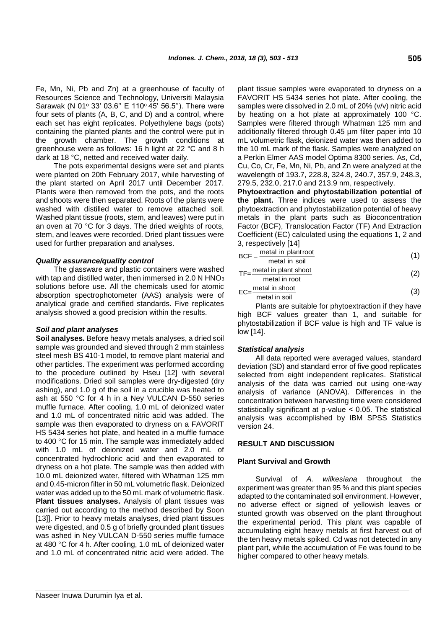Fe, Mn, Ni, Pb and Zn) at a greenhouse of faculty of Resources Science and Technology, Universiti Malaysia Sarawak (N 01° 33' 03.6" E 110° 45' 56.5"). There were four sets of plants (A, B, C, and D) and a control, where each set has eight replicates. Polyethylene bags (pots) containing the planted plants and the control were put in the growth chamber. The growth conditions at greenhouse were as follows: 16 h light at 22 °C and 8 h dark at 18 °C, netted and received water daily.

The pots experimental designs were set and plants were planted on 20th February 2017, while harvesting of the plant started on April 2017 until December 2017. Plants were then removed from the pots, and the roots and shoots were then separated. Roots of the plants were washed with distilled water to remove attached soil. Washed plant tissue (roots, stem, and leaves) were put in an oven at 70 °C for 3 days. The dried weights of roots, stem, and leaves were recorded. Dried plant tissues were used for further preparation and analyses.

## *Quality assurance/quality control*

The glassware and plastic containers were washed with tap and distilled water, then immersed in 2.0 N HNO<sub>3</sub> solutions before use. All the chemicals used for atomic absorption spectrophotometer (AAS) analysis were of analytical grade and certified standards. Five replicates analysis showed a good precision within the results.

## *Soil and plant analyses*

**Soil analyses.** Before heavy metals analyses, a dried soil sample was grounded and sieved through 2 mm stainless steel mesh BS 410-1 model, to remove plant material and other particles. The experiment was performed according to the procedure outlined by Hseu [12] with several modifications. Dried soil samples were dry-digested (dry ashing), and 1.0 g of the soil in a crucible was heated to ash at 550 °C for 4 h in a Ney VULCAN D-550 series muffle furnace. After cooling, 1.0 mL of deionized water and 1.0 mL of concentrated nitric acid was added. The sample was then evaporated to dryness on a FAVORIT HS 5434 series hot plate, and heated in a muffle furnace to 400 °C for 15 min. The sample was immediately added with 1.0 mL of deionized water and 2.0 mL of concentrated hydrochloric acid and then evaporated to dryness on a hot plate. The sample was then added with 10.0 mL deionized water, filtered with Whatman 125 mm and 0.45-micron filter in 50 mL volumetric flask. Deionized water was added up to the 50 mL mark of volumetric flask. **Plant tissues analyses.** Analysis of plant tissues was carried out according to the method described by Soon [13]]. Prior to heavy metals analyses, dried plant tissues were digested, and 0.5 g of briefly grounded plant tissues was ashed in Ney VULCAN D-550 series muffle furnace at 480 °C for 4 h. After cooling, 1.0 mL of deionized water and 1.0 mL of concentrated nitric acid were added. The plant tissue samples were evaporated to dryness on a FAVORIT HS 5434 series hot plate. After cooling, the samples were dissolved in 2.0 mL of 20% (v/v) nitric acid by heating on a hot plate at approximately 100 °C. Samples were filtered through Whatman 125 mm and additionally filtered through 0.45 µm filter paper into 10 mL volumetric flask, deionized water was then added to the 10 mL mark of the flask. Samples were analyzed on a Perkin Elmer AAS model Optima 8300 series. As, Cd, Cu, Co, Cr, Fe, Mn, Ni, Pb, and Zn were analyzed at the wavelength of 193.7, 228.8, 324.8, 240.7, 357.9, 248.3, 279.5, 232.0, 217.0 and 213.9 nm, respectively.

**Phytoextraction and phytostabilization potential of the plant.** Three indices were used to assess the phytoextraction and phytostabilization potential of heavy metals in the plant parts such as Bioconcentration Factor (BCF), Translocation Factor (TF) And Extraction Coefficient (EC) calculated using the equations 1, 2 and 3, respectively [14]

$$
BCF = \frac{\text{metal in plantroot}}{\text{metal in soil}} \tag{1}
$$

$$
TF = \frac{\text{metal in plant shoot}}{\text{metal in root}} \tag{2}
$$

$$
EC = \frac{\text{metal in shoot}}{\text{metal in soil}} \tag{3}
$$

Plants are suitable for phytoextraction if they have high BCF values greater than 1, and suitable for phytostabilization if BCF value is high and TF value is low [14].

# *Statistical analysis*

All data reported were averaged values, standard deviation (SD) and standard error of five good replicates selected from eight independent replicates. Statistical analysis of the data was carried out using one-way analysis of variance (ANOVA). Differences in the concentration between harvesting time were considered statistically significant at p-value ˂ 0.05. The statistical analysis was accomplished by IBM SPSS Statistics version 24.

# **RESULT AND DISCUSSION**

## **Plant Survival and Growth**

Survival of *A. wilkesiana* throughout the experiment was greater than 95 % and this plant species adapted to the contaminated soil environment. However, no adverse effect or signed of yellowish leaves or stunted growth was observed on the plant throughout the experimental period. This plant was capable of accumulating eight heavy metals at first harvest out of the ten heavy metals spiked. Cd was not detected in any plant part, while the accumulation of Fe was found to be higher compared to other heavy metals.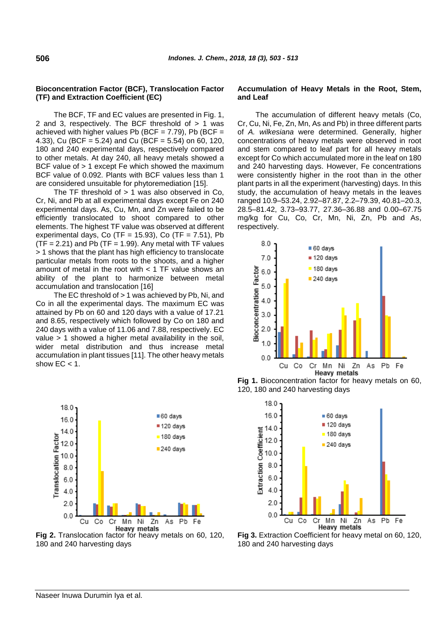## **Bioconcentration Factor (BCF), Translocation Factor (TF) and Extraction Coefficient (EC)**

The BCF, TF and EC values are presented in Fig. 1, 2 and 3, respectively. The BCF threshold of  $> 1$  was achieved with higher values Pb (BCF =  $7.79$ ), Pb (BCF = 4.33), Cu (BCF = 5.24) and Cu (BCF = 5.54) on 60, 120, 180 and 240 experimental days, respectively compared to other metals. At day 240, all heavy metals showed a BCF value of > 1 except Fe which showed the maximum BCF value of 0.092. Plants with BCF values less than 1 are considered unsuitable for phytoremediation [15].

The TF threshold of  $> 1$  was also observed in Co, Cr, Ni, and Pb at all experimental days except Fe on 240 experimental days. As, Cu, Mn, and Zn were failed to be efficiently translocated to shoot compared to other elements. The highest TF value was observed at different experimental days, Co (TF = 15.93), Co (TF =  $7.51$ ), Pb  $(TF = 2.21)$  and Pb  $(TF = 1.99)$ . Any metal with TF values > 1 shows that the plant has high efficiency to translocate particular metals from roots to the shoots, and a higher amount of metal in the root with  $<$  1 TF value shows an ability of the plant to harmonize between metal accumulation and translocation [16]

The EC threshold of > 1 was achieved by Pb, Ni, and Co in all the experimental days. The maximum EC was attained by Pb on 60 and 120 days with a value of 17.21 and 8.65, respectively which followed by Co on 180 and 240 days with a value of 11.06 and 7.88, respectively. EC value > 1 showed a higher metal availability in the soil, wider metal distribution and thus increase metal accumulation in plant tissues [11]. The other heavy metals show  $EC < 1$ .



 $0.0$ Cu Сo Сr Mn Ni Zn As Pb Fe **Heavy metals Fig 2.** Translocation factor for heavy metals on 60, 120, 180 and 240 harvesting days

## **Accumulation of Heavy Metals in the Root, Stem, and Leaf**

The accumulation of different heavy metals (Co, Cr, Cu, Ni, Fe, Zn, Mn, As and Pb) in three different parts of *A. wilkesiana* were determined. Generally, higher concentrations of heavy metals were observed in root and stem compared to leaf part for all heavy metals except for Co which accumulated more in the leaf on 180 and 240 harvesting days. However, Fe concentrations were consistently higher in the root than in the other plant parts in all the experiment (harvesting) days. In this study, the accumulation of heavy metals in the leaves ranged 10.9–53.24, 2.92–87.87, 2.2–79.39, 40.81–20.3, 28.5–81.42, 3.73–93.77, 27.36–36.88 and 0.00–67.75 mg/kg for Cu, Co, Cr, Mn, Ni, Zn, Pb and As, respectively.



**Fig 1.** Bioconcentration factor for heavy metals on 60, 120, 180 and 240 harvesting days





 $2.0$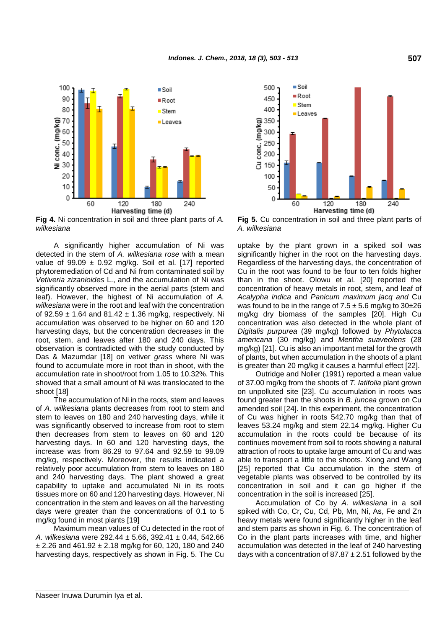

**Fig 4.** Ni concentration in soil and three plant parts of *A. wilkesiana*

A significantly higher accumulation of Ni was detected in the stem of *A. wilkesiana rose* with a mean value of  $99.09 \pm 0.92$  mg/kg. Soil et al. [17] reported phytoremediation of Cd and Ni from contaminated soil by *Vetiveria zizanioides* L., and the accumulation of Ni was significantly observed more in the aerial parts (stem and leaf). However, the highest of Ni accumulation of *A. wilkesiana* were in the root and leaf with the concentration of 92.59  $\pm$  1.64 and 81.42  $\pm$  1.36 mg/kg, respectively. Ni accumulation was observed to be higher on 60 and 120 harvesting days, but the concentration decreases in the root, stem, and leaves after 180 and 240 days. This observation is contradicted with the study conducted by Das & Mazumdar [18] on vetiver *grass* where Ni was found to accumulate more in root than in shoot, with the accumulation rate in shoot/root from 1.05 to 10.32%. This showed that a small amount of Ni was translocated to the shoot [18]

The accumulation of Ni in the roots, stem and leaves of *A. wilkesiana* plants decreases from root to stem and stem to leaves on 180 and 240 harvesting days, while it was significantly observed to increase from root to stem then decreases from stem to leaves on 60 and 120 harvesting days. In 60 and 120 harvesting days, the increase was from 86.29 to 97.64 and 92.59 to 99.09 mg/kg, respectively. Moreover, the results indicated a relatively poor accumulation from stem to leaves on 180 and 240 harvesting days. The plant showed a great capability to uptake and accumulated Ni in its roots tissues more on 60 and 120 harvesting days. However, Ni concentration in the stem and leaves on all the harvesting days were greater than the concentrations of 0.1 to 5 mg/kg found in most plants [19]

Maximum mean values of Cu detected in the root of *A. wilkesiana* were 292.44 ± 5.66, 392.41 ± 0.44, 542.66  $\pm$  2.26 and 461.92  $\pm$  2.18 mg/kg for 60, 120, 180 and 240 harvesting days, respectively as shown in Fig. 5. The Cu



**Fig 5.** Cu concentration in soil and three plant parts of *A. wilkesiana*

uptake by the plant grown in a spiked soil was significantly higher in the root on the harvesting days. Regardless of the harvesting days, the concentration of Cu in the root was found to be four to ten folds higher than in the shoot. Olowu et al. [20] reported the concentration of heavy metals in root, stem, and leaf of *Acalypha indica* and *Panicum maximum jacq and* Cu was found to be in the range of  $7.5 \pm 5.6$  mg/kg to  $30\pm 26$ mg/kg dry biomass of the samples [20]. High Cu concentration was also detected in the whole plant of *Digitalis purpurea* (39 mg/kg) followed by *Phytolacca americana* (30 mg/kg) and *Mentha suaveolens* (28 mg/kg) [21]. Cu is also an important metal for the growth of plants, but when accumulation in the shoots of a plant is greater than 20 mg/kg it causes a harmful effect [22].

Outridge and Noller (1991) reported a mean value of 37.00 mg/kg from the shoots of *T. latifolia* plant grown on unpolluted site [23]. Cu accumulation in roots was found greater than the shoots in *B. juncea* grown on Cu amended soil [24]. In this experiment, the concentration of Cu was higher in roots 542.70 mg/kg than that of leaves 53.24 mg/kg and stem 22.14 mg/kg. Higher Cu accumulation in the roots could be because of its continues movement from soil to roots showing a natural attraction of roots to uptake large amount of Cu and was able to transport a little to the shoots. Xiong and Wang [25] reported that Cu accumulation in the stem of vegetable plants was observed to be controlled by its concentration in soil and it can go higher if the concentration in the soil is increased [25].

Accumulation of Co by *A. wilkesiana* in a soil spiked with Co, Cr, Cu, Cd, Pb, Mn, Ni, As, Fe and Zn heavy metals were found significantly higher in the leaf and stem parts as shown in Fig. 6. The concentration of Co in the plant parts increases with time, and higher accumulation was detected in the leaf of 240 harvesting days with a concentration of  $87.87 \pm 2.51$  followed by the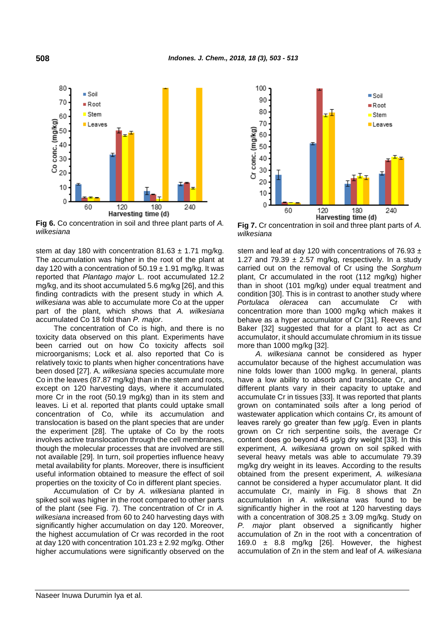

**Fig 6.** Co concentration in soil and three plant parts of *A. wilkesiana*

stem at day 180 with concentration  $81.63 \pm 1.71$  mg/kg. The accumulation was higher in the root of the plant at day 120 with a concentration of  $50.19 \pm 1.91$  mg/kg. It was reported that *Plantago major* L. root accumulated 12.2 mg/kg, and its shoot accumulated 5.6 mg/kg [26], and this finding contradicts with the present study in which *A. wilkesiana* was able to accumulate more Co at the upper part of the plant, which shows that *A. wilkesiana* accumulated Co 18 fold than *P. major*.

The concentration of Co is high, and there is no toxicity data observed on this plant. Experiments have been carried out on how Co toxicity affects soil microorganisms; Lock et al. also reported that Co is relatively toxic to plants when higher concentrations have been dosed [27]. A*. wilkesiana* species accumulate more Co in the leaves (87.87 mg/kg) than in the stem and roots, except on 120 harvesting days, where it accumulated more Cr in the root (50.19 mg/kg) than in its stem and leaves. Li et al. reported that plants could uptake small concentration of Co, while its accumulation and translocation is based on the plant species that are under the experiment [28]. The uptake of Co by the roots involves active translocation through the cell membranes, though the molecular processes that are involved are still not available [29]. In turn, soil properties influence heavy metal availability for plants. Moreover, there is insufficient useful information obtained to measure the effect of soil properties on the toxicity of Co in different plant species.

Accumulation of Cr by *A. wilkesiana* planted in spiked soil was higher in the root compared to other parts of the plant (see Fig. 7). The concentration of Cr in *A. wilkesiana* increased from 60 to 240 harvesting days with significantly higher accumulation on day 120. Moreover, the highest accumulation of Cr was recorded in the root at day 120 with concentration  $101.23 \pm 2.92$  mg/kg. Other higher accumulations were significantly observed on the



**Fig 7.** Cr concentration in soil and three plant parts of *A. wilkesiana*

stem and leaf at day 120 with concentrations of 76.93  $\pm$ 1.27 and 79.39  $\pm$  2.57 mg/kg, respectively. In a study carried out on the removal of Cr using the *Sorghum* plant, Cr accumulated in the root (112 mg/kg) higher than in shoot (101 mg/kg) under equal treatment and condition [30]. This is in contrast to another study where *Portulaca oleracea* can accumulate Cr with concentration more than 1000 mg/kg which makes it behave as a hyper accumulator of Cr [31]. Reeves and Baker [32] suggested that for a plant to act as Cr accumulator, it should accumulate chromium in its tissue more than 1000 mg/kg [32].

*A. wilkesiana* cannot be considered as hyper accumulator because of the highest accumulation was nine folds lower than 1000 mg/kg. In general, plants have a low ability to absorb and translocate Cr, and different plants vary in their capacity to uptake and accumulate Cr in tissues [33]. It was reported that plants grown on contaminated soils after a long period of wastewater application which contains Cr, its amount of leaves rarely go greater than few μg/g. Even in plants grown on Cr rich serpentine soils, the average Cr content does go beyond 45 μg/g dry weight [33]. In this experiment, *A. wilkesiana* grown on soil spiked with several heavy metals was able to accumulate 79.39 mg/kg dry weight in its leaves. According to the results obtained from the present experiment, *A. wilkesiana* cannot be considered a hyper accumulator plant. It did accumulate Cr, mainly in Fig. 8 shows that Zn accumulation in *A*. *wilkesiana* was found to be significantly higher in the root at 120 harvesting days with a concentration of  $308.25 \pm 3.09$  mg/kg. Study on *P. major* plant observed a significantly higher accumulation of Zn in the root with a concentration of 169.0  $\pm$  8.8 mg/kg [26]. However, the highest accumulation of Zn in the stem and leaf of *A. wilkesiana*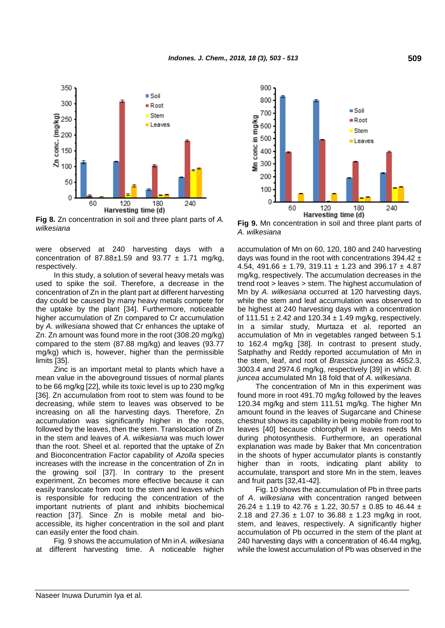

**Fig 8.** Zn concentration in soil and three plant parts of *A.* **Fig 6.** Zu concentration in soil and three plant parts of A. Fig 9. Mn concentration in soil and three plant parts of wilkesiana

were observed at 240 harvesting days with a concentration of  $87.88 \pm 1.59$  and  $93.77 \pm 1.71$  mg/kg, respectively.

In this study, a solution of several heavy metals was used to spike the soil. Therefore, a decrease in the concentration of Zn in the plant part at different harvesting day could be caused by many heavy metals compete for the uptake by the plant [34]. Furthermore, noticeable higher accumulation of Zn compared to Cr accumulation by *A. wilkesiana* showed that Cr enhances the uptake of Zn. Zn amount was found more in the root (308.20 mg/kg) compared to the stem (87.88 mg/kg) and leaves (93.77 mg/kg) which is, however, higher than the permissible limits [35].

Zinc is an important metal to plants which have a mean value in the aboveground tissues of normal plants to be 66 mg/kg [22], while its toxic level is up to 230 mg/kg [36]. Zn accumulation from root to stem was found to be decreasing, while stem to leaves was observed to be increasing on all the harvesting days. Therefore, Zn accumulation was significantly higher in the roots, followed by the leaves, then the stem. Translocation of Zn in the stem and leaves of *A. wilkesiana* was much lower than the root. Sheel et al. reported that the uptake of Zn and Bioconcentration Factor capability of *Azolla* species increases with the increase in the concentration of Zn in the growing soil [37]. In contrary to the present experiment, Zn becomes more effective because it can easily translocate from root to the stem and leaves which is responsible for reducing the concentration of the important nutrients of plant and inhibits biochemical reaction [37]. Since Zn is mobile metal and bioaccessible, its higher concentration in the soil and plant can easily enter the food chain.

Fig. 9 shows the accumulation of Mn in *A. wilkesiana* at different harvesting time. A noticeable higher



*A. wilkesiana*

accumulation of Mn on 60, 120, 180 and 240 harvesting days was found in the root with concentrations  $394.42 \pm$ 4.54, 491.66  $\pm$  1.79, 319.11  $\pm$  1.23 and 396.17  $\pm$  4.87 mg/kg, respectively. The accumulation decreases in the trend root > leaves > stem. The highest accumulation of Mn by *A. wilkesiana* occurred at 120 harvesting days, while the stem and leaf accumulation was observed to be highest at 240 harvesting days with a concentration of 111.51  $\pm$  2.42 and 120.34  $\pm$  1.49 mg/kg, respectively. In a similar study, Murtaza et al. reported an accumulation of Mn in vegetables ranged between 5.1 to 162.4 mg/kg [38]. In contrast to present study, Satphathy and Reddy reported accumulation of Mn in the stem, leaf, and root of *Brassica juncea* as 4552.3, 3003.4 and 2974.6 mg/kg, respectively [39] in which *B. juncea* accumulated Mn 18 fold that of *A. wilkesiana*.

The concentration of Mn in this experiment was found more in root 491.70 mg/kg followed by the leaves 120.34 mg/kg and stem 111.51 mg/kg. The higher Mn amount found in the leaves of Sugarcane and Chinese chestnut shows its capability in being mobile from root to leaves [40] because chlorophyll in leaves needs Mn during photosynthesis. Furthermore, an operational explanation was made by Baker that Mn concentration in the shoots of hyper accumulator plants is constantly higher than in roots, indicating plant ability to accumulate, transport and store Mn in the stem, leaves and fruit parts [32,41-42].

Fig. 10 shows the accumulation of Pb in three parts of *A*. *wilkesiana* with concentration ranged between 26.24  $\pm$  1.19 to 42.76  $\pm$  1.22, 30.57  $\pm$  0.85 to 46.44  $\pm$ 2.18 and 27.36  $\pm$  1.07 to 36.88  $\pm$  1.23 mg/kg in root, stem, and leaves, respectively. A significantly higher accumulation of Pb occurred in the stem of the plant at 240 harvesting days with a concentration of 46.44 mg/kg, while the lowest accumulation of Pb was observed in the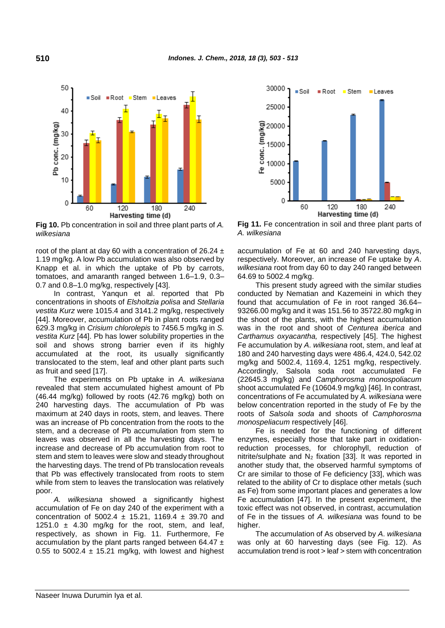

**Fig 10.** Pb concentration in soil and three plant parts of *A. wilkesiana*

root of the plant at day 60 with a concentration of  $26.24 \pm$ 1.19 mg/kg. A low Pb accumulation was also observed by Knapp et al. in which the uptake of Pb by carrots, tomatoes, and amaranth ranged between 1.6–1.9, 0.3– 0.7 and 0.8–1.0 mg/kg, respectively [43].

In contrast, Yanqun et al. reported that Pb concentrations in shoots of *Elsholtzia polisa* and *Stellaria vestita Kurz* were 1015.4 and 3141.2 mg/kg, respectively [44]. Moreover, accumulation of Pb in plant roots ranged 629.3 mg/kg in *Crisium chlorolepis* to 7456.5 mg/kg in *S. vestita Kurz* [44]. Pb has lower solubility properties in the soil and shows strong barrier even if its highly accumulated at the root, its usually significantly translocated to the stem, leaf and other plant parts such as fruit and seed [17].

The experiments on Pb uptake in *A. wilkesiana* revealed that stem accumulated highest amount of Pb (46.44 mg/kg) followed by roots (42.76 mg/kg) both on 240 harvesting days. The accumulation of Pb was maximum at 240 days in roots, stem, and leaves. There was an increase of Pb concentration from the roots to the stem, and a decrease of Pb accumulation from stem to leaves was observed in all the harvesting days. The increase and decrease of Pb accumulation from root to stem and stem to leaves were slow and steady throughout the harvesting days. The trend of Pb translocation reveals that Pb was effectively translocated from roots to stem while from stem to leaves the translocation was relatively poor.

wilkesiana showed a significantly highest accumulation of Fe on day 240 of the experiment with a concentration of 5002.4  $\pm$  15.21, 1169.4  $\pm$  39.70 and 1251.0  $\pm$  4.30 mg/kg for the root, stem, and leaf, respectively, as shown in Fig. 11. Furthermore, Fe accumulation by the plant parts ranged between 64.47  $\pm$ 0.55 to 5002.4  $\pm$  15.21 mg/kg, with lowest and highest



**Fig 11.** Fe concentration in soil and three plant parts of *A. wilkesiana*

accumulation of Fe at 60 and 240 harvesting days, respectively. Moreover, an increase of Fe uptake by *A*. *wilkesiana* root from day 60 to day 240 ranged between 64.69 to 5002.4 mg/kg.

This present study agreed with the similar studies conducted by Nematian and Kazemeini in which they found that accumulation of Fe in root ranged 36.64– 93266.00 mg/kg and it was 151.56 to 35722.80 mg/kg in the shoot of the plants, with the highest accumulation was in the root and shoot of *Centurea iberica* and *Carthamus oxyacantha,* respectively [45]. The highest Fe accumulation by *A*. *wilkesiana* root, stem, and leaf at 180 and 240 harvesting days were 486.4, 424.0, 542.02 mg/kg and 5002.4, 1169.4, 1251 mg/kg, respectively. Accordingly, Salsola soda root accumulated Fe (22645.3 mg/kg) and *Camphorosma monospoliacum* shoot accumulated Fe (10604.9 mg/kg) [46]. In contrast, concentrations of Fe accumulated by *A. wilkesiana* were below concentration reported in the study of Fe by the roots of *Salsola soda* and shoots of *Camphorosma monospeliacum* respectively [46].

Fe is needed for the functioning of different enzymes, especially those that take part in oxidationreduction processes, for chlorophyll, reduction of nitrite/sulphate and  $N_2$  fixation [33]. It was reported in another study that, the observed harmful symptoms of Cr are similar to those of Fe deficiency [33], which was related to the ability of Cr to displace other metals (such as Fe) from some important places and generates a low Fe accumulation [47]. In the present experiment, the toxic effect was not observed, in contrast, accumulation of Fe in the tissues of *A. wilkesiana* was found to be higher.

The accumulation of As observed by *A*. *wilkesiana* was only at 60 harvesting days (see Fig. 12). As accumulation trend is root > leaf > stem with concentration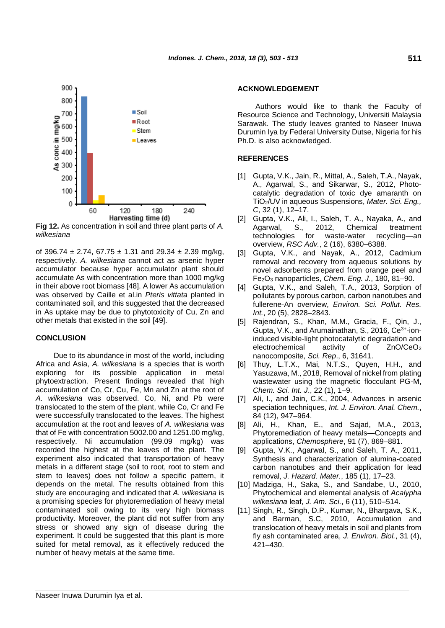

**Fig 12.** As concentration in soil and three plant parts of *A. wilkesiana*

of 396.74  $\pm$  2.74, 67.75  $\pm$  1.31 and 29.34  $\pm$  2.39 mg/kg, respectively. *A. wilkesiana* cannot act as arsenic hyper accumulator because hyper accumulator plant should accumulate As with concentration more than 1000 mg/kg in their above root biomass [48]. A lower As accumulation was observed by Caille et al.in *Pteris vittata* planted in contaminated soil, and this suggested that the decreased in As uptake may be due to phytotoxicity of Cu, Zn and other metals that existed in the soil [49].

## **CONCLUSION**

Due to its abundance in most of the world, including Africa and Asia, *A. wilkesiana* is a species that is worth exploring for its possible application in metal phytoextraction. Present findings revealed that high accumulation of Co, Cr, Cu, Fe, Mn and Zn at the root of *A. wilkesiana* was observed. Co, Ni, and Pb were translocated to the stem of the plant, while Co, Cr and Fe were successfully translocated to the leaves. The highest accumulation at the root and leaves of *A. wilkesiana* was that of Fe with concentration 5002.00 and 1251.00 mg/kg, respectively. Ni accumulation (99.09 mg/kg) was recorded the highest at the leaves of the plant. The experiment also indicated that transportation of heavy metals in a different stage (soil to root, root to stem and stem to leaves) does not follow a specific pattern, it depends on the metal. The results obtained from this study are encouraging and indicated that *A. wilkesiana* is a promising species for phytoremediation of heavy metal contaminated soil owing to its very high biomass productivity. Moreover, the plant did not suffer from any stress or showed any sign of disease during the experiment. It could be suggested that this plant is more suited for metal removal, as it effectively reduced the number of heavy metals at the same time.

#### **ACKNOWLEDGEMENT**

Authors would like to thank the Faculty of Resource Science and Technology, Universiti Malaysia Sarawak. The study leaves granted to Naseer Inuwa Durumin Iya by Federal University Dutse, Nigeria for his Ph.D. is also acknowledged.

## **REFERENCES**

- [1] Gupta, V.K., Jain, R., Mittal, A., Saleh, T.A., Nayak, A., Agarwal, S., and Sikarwar, S., 2012, Photocatalytic degradation of toxic dye amaranth on TiO2/UV in aqueous Suspensions, *Mater. Sci. Eng., C*, 32 (1), 12–17.
- [2] Gupta, V.K., Ali, I., Saleh, T. A., Nayaka, A., and Agarwal, S., 2012, Chemical treatment technologies for waste-water recycling—an overview, *RSC Adv.*, 2 (16), 6380–6388.
- [3] Gupta, V.K., and Nayak, A., 2012, Cadmium removal and recovery from aqueous solutions by novel adsorbents prepared from orange peel and Fe2O<sup>3</sup> nanoparticles, *Chem. Eng. J.*, 180, 81–90.
- [4] Gupta, V.K., and Saleh, T.A., 2013, Sorption of pollutants by porous carbon, carbon nanotubes and fullerene-An overview, *Environ. Sci. Pollut. Res. Int.*, 20 (5), 2828–2843.
- [5] Rajendran, S., Khan, M.M., Gracia, F., Qin, J., Gupta, V.K., and Arumainathan, S., 2016, Ce3+-ioninduced visible-light photocatalytic degradation and electrochemical activity of ZnO/CeO<sup>2</sup> nanocomposite, *Sci. Rep*., 6, 31641.
- [6] Thuy, L.T.X., Mai, N.T.S., Quyen, H.H., and Yasuzawa, M., 2018, Removal of nickel from plating wastewater using the magnetic flocculant PG-M, *Chem. Sci. Int. J*., 22 (1), 1–9.
- [7] Ali, I., and Jain, C.K., 2004, Advances in arsenic speciation techniques, *Int. J. Environ. Anal. Chem.*, 84 (12), 947–964.
- [8] Ali, H., Khan, E., and Sajad, M.A., 2013, Phytoremediation of heavy metals—Concepts and applications, *Chemosphere*, 91 (7), 869–881.
- [9] Gupta, V.K., Agarwal, S., and Saleh, T. A., 2011, Synthesis and characterization of alumina-coated carbon nanotubes and their application for lead removal, *J. Hazard. Mater.*, 185 (1), 17–23.
- [10] Madziga, H., Saka, S., and Sandabe, U., 2010, Phytochemical and elemental analysis of *Acalypha wilkesiana* leaf, *J. Am. Sci.*, 6 (11), 510–514.
- [11] Singh, R., Singh, D.P., Kumar, N., Bhargava, S.K., and Barman, S.C, 2010, Accumulation and translocation of heavy metals in soil and plants from fly ash contaminated area, *J. Environ. Biol.*, 31 (4), 421–430.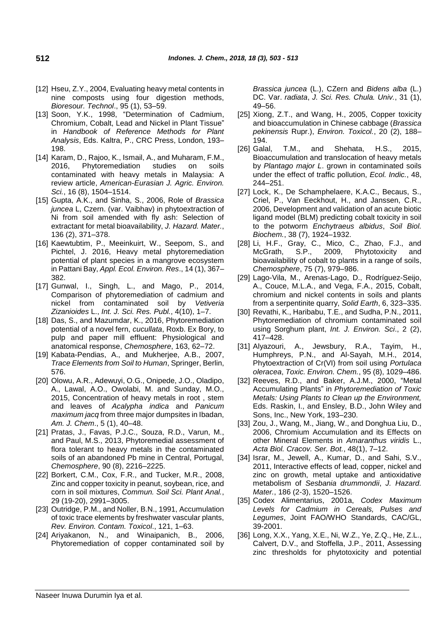- [12] Hseu, Z.Y., 2004, Evaluating heavy metal contents in nine composts using four digestion methods, *Bioresour. Technol*., 95 (1), 53–59.
- [13] Soon, Y.K., 1998, "Determination of Cadmium, Chromium, Cobalt, Lead and Nickel in Plant Tissue" in *Handbook of Reference Methods for Plant Analysis*, Eds. Kaltra, P., CRC Press, London, 193– 198.
- [14] Karam, D., Rajoo, K., Ismail, A., and Muharam, F.M., 2016, Phytoremediation studies on soils contaminated with heavy metals in Malaysia: A review article, *American-Eurasian J. Agric. Environ. Sci.*, 16 (8), 1504–1514.
- [15] Gupta, A.K., and Sinha, S., 2006, Role of *Brassica juncea* L, Czern. (var. Vaibhav) in phytoextraction of Ni from soil amended with fly ash: Selection of extractant for metal bioavailability, *J. Hazard. Mater.*, 136 (2), 371–378.
- [16] Kaewtubtim, P., Meeinkuirt, W., Seepom, S., and Pichtel, J. 2016, Heavy metal phytoremediation potential of plant species in a mangrove ecosystem in Pattani Bay, *Appl. Ecol. Environ. Res*., 14 (1), 367– 382.
- [17] Gunwal, I., Singh, L., and Mago, P., 2014, Comparison of phytoremediation of cadmium and nickel from contaminated soil by *Vetiveria Zizanioides* L., *Int. J. Sci. Res. Publ.*, 4(10), 1–7.
- [18] Das, S., and Mazumdar, K., 2016, Phytoremediation potential of a novel fern, *cucullata*, Roxb. Ex Bory, to pulp and paper mill effluent: Physiological and anatomical response, *Chemosphere*, 163, 62–72.
- [19] Kabata-Pendias, A., and Mukherjee, A.B., 2007, *Trace Elements from Soil to Human*, Springer, Berlin, 576.
- [20] Olowu, A.R., Adewuyi, O.G., Onipede, J.O., Oladipo, A., Lawal, A.O., Owolabi, M. and Sunday, M.O., 2015, Concentration of heavy metals in root , stem and leaves of *Acalypha indica* and *Panicum maximum jacq* from three major dumpsites in Ibadan, *Am. J. Chem*., 5 (1), 40–48.
- [21] Pratas, J., Favas, P.J.C., Souza, R.D., Varun, M., and Paul, M.S., 2013, Phytoremedial assessment of flora tolerant to heavy metals in the contaminated soils of an abandoned Pb mine in Central, Portugal, *Chemosphere*, 90 (8), 2216–2225.
- [22] Borkert, C.M., Cox, F.R., and Tucker, M.R., 2008, Zinc and copper toxicity in peanut, soybean, rice, and corn in soil mixtures, *Commun. Soil Sci. Plant Anal.*, 29 (19-20), 2991–3005.
- [23] Outridge, P.M., and Noller, B.N., 1991, Accumulation of toxic trace elements by freshwater vascular plants, *Rev. Environ. Contam. Toxicol*., 121, 1–63.
- [24] Ariyakanon, N., and Winaipanich, B., 2006, Phytoremediation of copper contaminated soil by

*Brassica juncea* (L.), CZern and *Bidens alba* (L.) DC. Var. *radiata*, *J. Sci. Res. Chula. Univ.*, 31 (1), 49–56.

- [25] Xiong, Z.T., and Wang, H., 2005, Copper toxicity and bioaccumulation in Chinese cabbage (*Brassica pekinensis* Rupr.), *Environ. Toxicol.*, 20 (2), 188– 194.
- [26] Galal, T.M., and Shehata, H.S., 2015, Bioaccumulation and translocation of heavy metals by *Plantago major L*. grown in contaminated soils under the effect of traffic pollution, *Ecol. Indic.*, 48, 244–251.
- [27] Lock, K., De Schamphelaere, K.A.C., Becaus, S., Criel, P., Van Eeckhout, H., and Janssen, C.R., 2006, Development and validation of an acute biotic ligand model (BLM) predicting cobalt toxicity in soil to the potworm *Enchytraeus albidus*, *Soil Biol. Biochem.*, 38 (7), 1924–1932.
- [28] Li, H.F., Gray, C., Mico, C., Zhao, F.J., and McGrath, S.P., 2009, Phytotoxicity and bioavailability of cobalt to plants in a range of soils, *Chemosphere*, 75 (7), 979–986.
- [29] Lago-Vila, M., Arenas-Lago, D., Rodríguez-Seijo, A., Couce, M.L.A., and Vega, F.A., 2015, Cobalt, chromium and nickel contents in soils and plants from a serpentinite quarry, *Solid Earth*, 6, 323–335.
- [30] Revathi, K., Haribabu, T.E., and Sudha, P.N., 2011, Phytoremediation of chromium contaminated soil using Sorghum plant, *Int. J. Environ. Sci*., 2 (2), 417–428.
- [31] Alyazouri, A., Jewsbury, R.A., Tayim, H., Humphreys, P.N., and Al-Sayah, M.H., 2014, Phytoextraction of Cr(VI) from soil using *Portulaca oleracea*, *Toxic. Environ. Chem.*, 95 (8), 1029–486.
- [32] Reeves, R.D., and Baker, A.J.M., 2000, "Metal Accumulating Plants" in *Phytoremediation of Toxic Metals: Using Plants to Clean up the Environment,* Eds. Raskin, I., and Ensley, B.D., John Wiley and Sons, Inc., New York, 193–230.
- [33] Zou, J., Wang, M., Jiang, W., and Donghua Liu, D., 2006, Chromium Accumulation and its Effects on other Mineral Elements in *Amaranthus viridis* L., *Acta Biol. Cracov. Ser. Bot.*, 48(1), 7–12.
- [34] Israr, M., Jewell, A., Kumar, D., and Sahi, S.V., 2011, Interactive effects of lead, copper, nickel and zinc on growth, metal uptake and antioxidative metabolism of *Sesbania drummondii*, *J. Hazard. Mater.*, 186 (2-3), 1520–1526.
- [35] Codex Alimentarius, 2001a, *Codex Maximum Levels for Cadmium in Cereals, Pulses and Legumes*, Joint FAO/WHO Standards, CAC/GL, 39-2001.
- [36] Long, X.X., Yang, X.E., Ni, W.Z., Ye, Z.Q., He, Z.L., Calvert, D.V., and Stoffella, J.P., 2011, Assessing zinc thresholds for phytotoxicity and potential